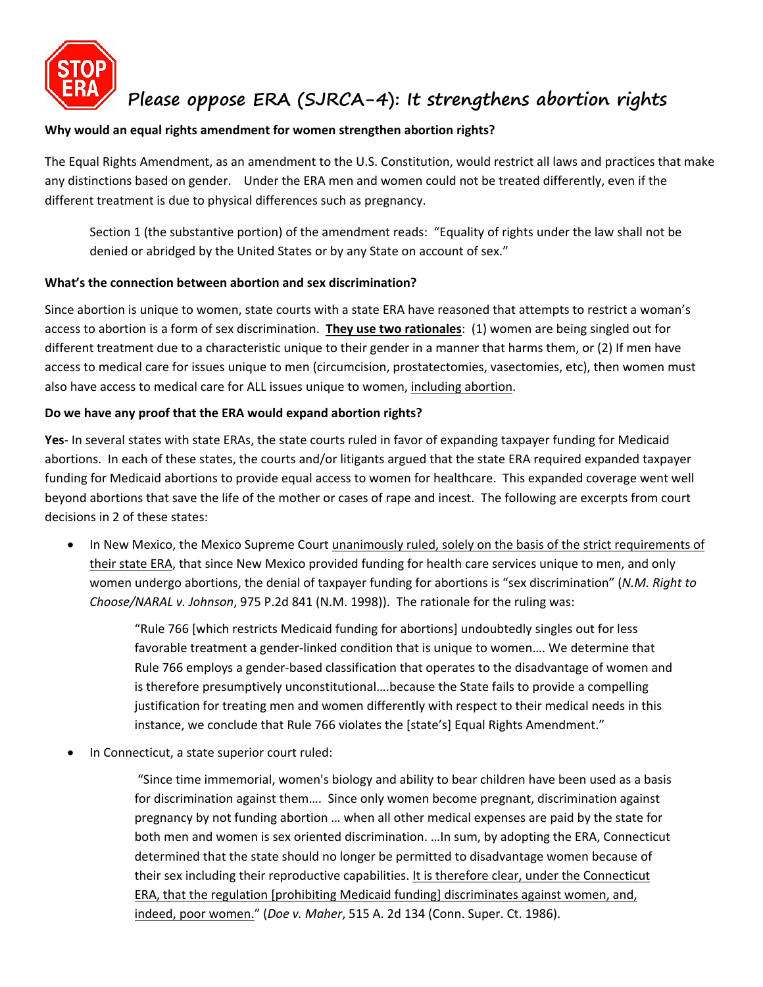

# **Please oppose ERA (SJRCA-4): It strengthens abortion rights**

## **Why would an equal rights amendment for women strengthen abortion rights?**

The Equal Rights Amendment, as an amendment to the U.S. Constitution, would restrict all laws and practices that make any distinctions based on gender. Under the ERA men and women could not be treated differently, even if the different treatment is due to physical differences such as pregnancy.

Section 1 (the substantive portion) of the amendment reads: "Equality of rights under the law shall not be denied or abridged by the United States or by any State on account of sex."

#### **What's the connection between abortion and sex discrimination?**

Since abortion is unique to women, state courts with a state ERA have reasoned that attempts to restrict a woman's access to abortion is a form of sex discrimination. **They use two rationales**: (1) women are being singled out for different treatment due to a characteristic unique to their gender in a manner that harms them, or (2) If men have access to medical care for issues unique to men (circumcision, prostatectomies, vasectomies, etc), then women must also have access to medical care for ALL issues unique to women, including abortion.

## **Do we have any proof that the ERA would expand abortion rights?**

**Yes**- In several states with state ERAs, the state courts ruled in favor of expanding taxpayer funding for Medicaid abortions. In each of these states, the courts and/or litigants argued that the state ERA required expanded taxpayer funding for Medicaid abortions to provide equal access to women for healthcare. This expanded coverage went well beyond abortions that save the life of the mother or cases of rape and incest. The following are excerpts from court decisions in 2 of these states:

 In New Mexico, the Mexico Supreme Court unanimously ruled, solely on the basis of the strict requirements of their state ERA, that since New Mexico provided funding for health care services unique to men, and only women undergo abortions, the denial of taxpayer funding for abortions is "sex discrimination" (*N.M. Right to Choose/NARAL v. Johnson*, 975 P.2d 841 (N.M. 1998)). The rationale for the ruling was:

> "Rule 766 [which restricts Medicaid funding for abortions] undoubtedly singles out for less favorable treatment a gender-linked condition that is unique to women…. We determine that Rule 766 employs a gender-based classification that operates to the disadvantage of women and is therefore presumptively unconstitutional….because the State fails to provide a compelling justification for treating men and women differently with respect to their medical needs in this instance, we conclude that Rule 766 violates the [state's] Equal Rights Amendment."

In Connecticut, a state superior court ruled:

 "Since time immemorial, women's biology and ability to bear children have been used as a basis for discrimination against them…. Since only women become pregnant, discrimination against pregnancy by not funding abortion … when all other medical expenses are paid by the state for both men and women is sex oriented discrimination. …In sum, by adopting the ERA, Connecticut determined that the state should no longer be permitted to disadvantage women because of their sex including their reproductive capabilities. It is therefore clear, under the Connecticut ERA, that the regulation [prohibiting Medicaid funding] discriminates against women, and, indeed, poor women." (*Doe v. Maher*, 515 A. 2d 134 (Conn. Super. Ct. 1986).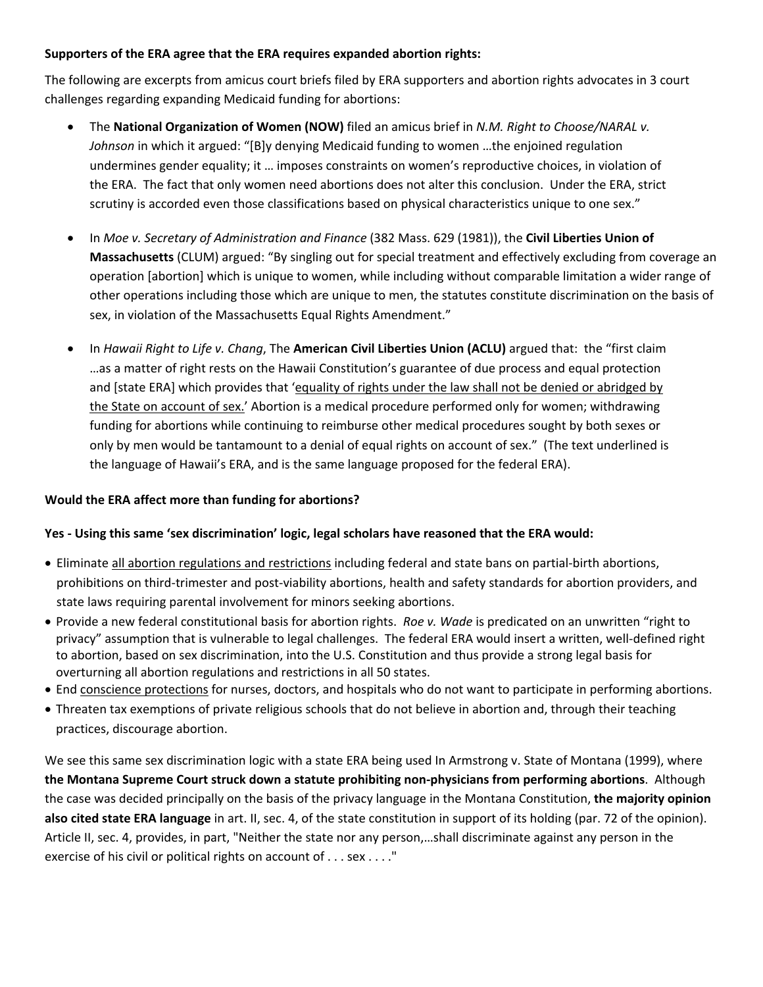## **Supporters of the ERA agree that the ERA requires expanded abortion rights:**

The following are excerpts from amicus court briefs filed by ERA supporters and abortion rights advocates in 3 court challenges regarding expanding Medicaid funding for abortions:

- The **National Organization of Women (NOW)** filed an amicus brief in *N.M. Right to Choose/NARAL v. Johnson* in which it argued: "[B]y denying Medicaid funding to women …the enjoined regulation undermines gender equality; it … imposes constraints on women's reproductive choices, in violation of the ERA. The fact that only women need abortions does not alter this conclusion. Under the ERA, strict scrutiny is accorded even those classifications based on physical characteristics unique to one sex."
- In *Moe v. Secretary of Administration and Finance* (382 Mass. 629 (1981)), the **Civil Liberties Union of Massachusetts** (CLUM) argued: "By singling out for special treatment and effectively excluding from coverage an operation [abortion] which is unique to women, while including without comparable limitation a wider range of other operations including those which are unique to men, the statutes constitute discrimination on the basis of sex, in violation of the Massachusetts Equal Rights Amendment."
- In *Hawaii Right to Life v. Chang*, The **American Civil Liberties Union (ACLU)** argued that: the "first claim …as a matter of right rests on the Hawaii Constitution's guarantee of due process and equal protection and [state ERA] which provides that 'equality of rights under the law shall not be denied or abridged by the State on account of sex.' Abortion is a medical procedure performed only for women; withdrawing funding for abortions while continuing to reimburse other medical procedures sought by both sexes or only by men would be tantamount to a denial of equal rights on account of sex." (The text underlined is the language of Hawaii's ERA, and is the same language proposed for the federal ERA).

# **Would the ERA affect more than funding for abortions?**

# **Yes - Using this same 'sex discrimination' logic, legal scholars have reasoned that the ERA would:**

- Eliminate all abortion regulations and restrictions including federal and state bans on partial-birth abortions, prohibitions on third-trimester and post-viability abortions, health and safety standards for abortion providers, and state laws requiring parental involvement for minors seeking abortions.
- Provide a new federal constitutional basis for abortion rights. *Roe v. Wade* is predicated on an unwritten "right to privacy" assumption that is vulnerable to legal challenges. The federal ERA would insert a written, well-defined right to abortion, based on sex discrimination, into the U.S. Constitution and thus provide a strong legal basis for overturning all abortion regulations and restrictions in all 50 states.
- End conscience protections for nurses, doctors, and hospitals who do not want to participate in performing abortions.
- Threaten tax exemptions of private religious schools that do not believe in abortion and, through their teaching practices, discourage abortion.

We see this same sex discrimination logic with a state ERA being used In Armstrong v. State of Montana (1999), where **the Montana Supreme Court struck down a statute prohibiting non-physicians from performing abortions**. Although the case was decided principally on the basis of the privacy language in the Montana Constitution, **the majority opinion also cited state ERA language** in art. II, sec. 4, of the state constitution in support of its holding (par. 72 of the opinion). Article II, sec. 4, provides, in part, "Neither the state nor any person,…shall discriminate against any person in the exercise of his civil or political rights on account of . . . sex . . . . "